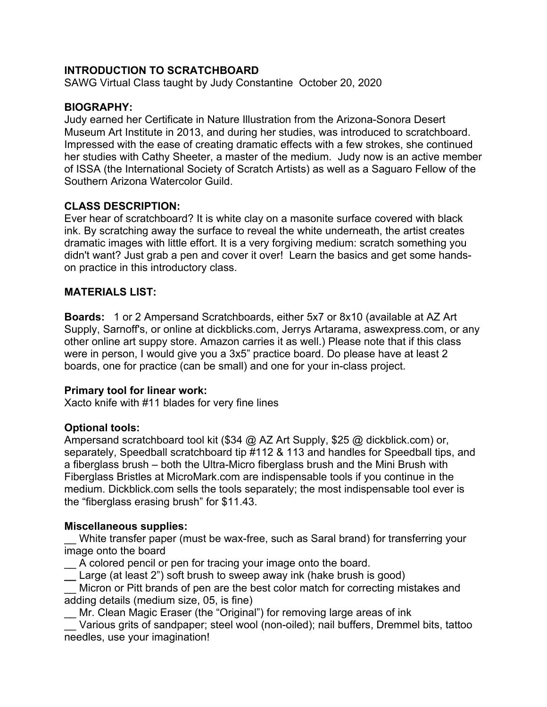# **INTRODUCTION TO SCRATCHBOARD**

SAWG Virtual Class taught by Judy Constantine October 20, 2020

### **BIOGRAPHY:**

Judy earned her Certificate in Nature Illustration from the Arizona-Sonora Desert Museum Art Institute in 2013, and during her studies, was introduced to scratchboard. Impressed with the ease of creating dramatic effects with a few strokes, she continued her studies with Cathy Sheeter, a master of the medium. Judy now is an active member of ISSA (the International Society of Scratch Artists) as well as a Saguaro Fellow of the Southern Arizona Watercolor Guild.

## **CLASS DESCRIPTION:**

Ever hear of scratchboard? It is white clay on a masonite surface covered with black ink. By scratching away the surface to reveal the white underneath, the artist creates dramatic images with little effort. It is a very forgiving medium: scratch something you didn't want? Just grab a pen and cover it over! Learn the basics and get some handson practice in this introductory class.

#### **MATERIALS LIST:**

**Boards:** 1 or 2 Ampersand Scratchboards, either 5x7 or 8x10 (available at AZ Art Supply, Sarnoff's, or online at dickblicks.com, Jerrys Artarama, aswexpress.com, or any other online art suppy store. Amazon carries it as well.) Please note that if this class were in person, I would give you a 3x5" practice board. Do please have at least 2 boards, one for practice (can be small) and one for your in-class project.

#### **Primary tool for linear work:**

Xacto knife with #11 blades for very fine lines

## **Optional tools:**

Ampersand scratchboard tool kit (\$34 @ AZ Art Supply, \$25 @ dickblick.com) or, separately, Speedball scratchboard tip #112 & 113 and handles for Speedball tips, and a fiberglass brush – both the Ultra-Micro fiberglass brush and the Mini Brush with Fiberglass Bristles at MicroMark.com are indispensable tools if you continue in the medium. Dickblick.com sells the tools separately; the most indispensable tool ever is the "fiberglass erasing brush" for \$11.43.

## **Miscellaneous supplies:**

White transfer paper (must be wax-free, such as Saral brand) for transferring your image onto the board

A colored pencil or pen for tracing your image onto the board.

**\_\_** Large (at least 2") soft brush to sweep away ink (hake brush is good)

\_\_ Micron or Pitt brands of pen are the best color match for correcting mistakes and adding details (medium size, 05, is fine)

\_\_ Mr. Clean Magic Eraser (the "Original") for removing large areas of ink

\_\_ Various grits of sandpaper; steel wool (non-oiled); nail buffers, Dremmel bits, tattoo needles, use your imagination!